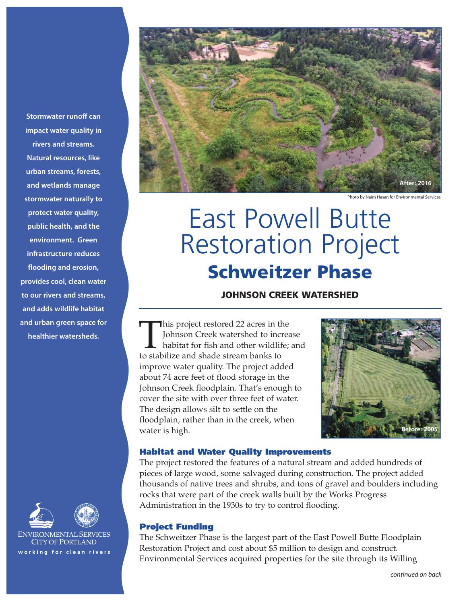**Stormwater runoff can impact water quality in rivers and streams. Natural resources, like urban streams, forests, and wetlands manage stormwater naturally to protect water quality, public health, and the environment. Green infrastructure reduces flooding and erosion, provides cool, clean water to our rivers and streams, and adds wildlife habitat and urban green space for healthier watersheds.**





ENVIRONMENTAL SERVICES **CITY OF PORTLAND** working for clean rivers



Photo by Naim Hasan for Environmental Services

# East Powell Butte Restoration Project **Schweitzer Phase**

# **JOHNSON CREEK WATERSHED**

This project restored <sup>22</sup> acres in the Johnson Creek watershed to increase habitat for fish and other wildlife; and to stabilize and shade stream banks to improve water quality. The project added about 74 acre feet of flood storage in the Johnson Creek floodplain. That's enough to cover the site with over three feet of water. The design allows silt to settle on the floodplain, rather than in the creek, when water is high.



#### **Habitat and Water Quality Improvements**

The project restored the features of a natural stream and added hundreds of pieces of large wood, some salvaged during construction. The project added thousands of native trees and shrubs, and tons of gravel and boulders including rocks that were part of the creek walls built by the Works Progress Administration in the 1930s to try to control flooding.

#### **Project Funding**

The Schweitzer Phase is the largest part of the East Powell Butte Floodplain Restoration Project and cost about \$5 million to design and construct. Environmental Services acquired properties for the site through its Willing